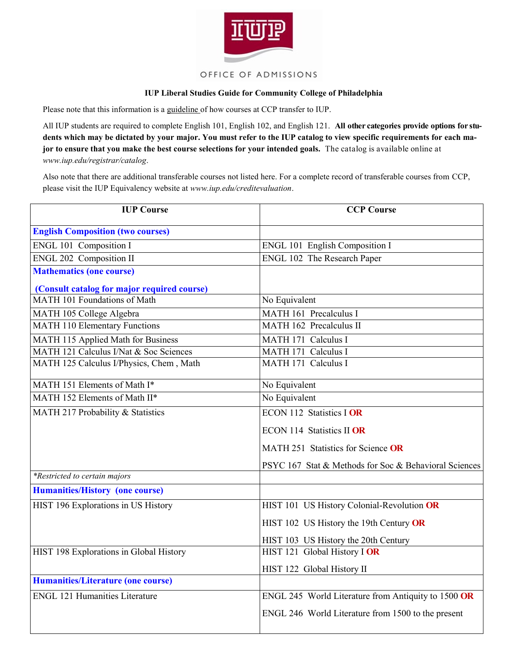

## OFFICE OF ADMISSIONS

## **IUP Liberal Studies Guide for Community College of Philadelphia**

Please note that this information is a guideline of how courses at CCP transfer to IUP.

All IUP students are required to complete English 101, English 102, and English 121. **All other categories provide options for students which may be dictated by your major. You must refer to the IUP catalog to view specific requirements for each major to ensure that you make the best course selections for your intended goals.** The catalog is available online at *www.iup.edu/registrar/catalog*.

Also note that there are additional transferable courses not listed here. For a complete record of transferable courses from CCP, please visit the IUP Equivalency website at *www.iup.edu/creditevaluation*.

| <b>IUP Course</b>                           | <b>CCP Course</b>                                     |
|---------------------------------------------|-------------------------------------------------------|
| <b>English Composition (two courses)</b>    |                                                       |
| ENGL 101 Composition I                      | ENGL 101 English Composition I                        |
| ENGL 202 Composition II                     | ENGL 102 The Research Paper                           |
| <b>Mathematics (one course)</b>             |                                                       |
| (Consult catalog for major required course) |                                                       |
| MATH 101 Foundations of Math                | No Equivalent                                         |
| MATH 105 College Algebra                    | MATH 161 Precalculus I                                |
| <b>MATH 110 Elementary Functions</b>        | MATH 162 Precalculus II                               |
| MATH 115 Applied Math for Business          | MATH 171 Calculus I                                   |
| MATH 121 Calculus I/Nat & Soc Sciences      | MATH 171 Calculus I                                   |
| MATH 125 Calculus I/Physics, Chem, Math     | MATH 171 Calculus I                                   |
| MATH 151 Elements of Math I*                | No Equivalent                                         |
| MATH 152 Elements of Math II*               | No Equivalent                                         |
| MATH 217 Probability & Statistics           | <b>ECON 112 Statistics I OR</b>                       |
|                                             | <b>ECON 114 Statistics II OR</b>                      |
|                                             | MATH 251 Statistics for Science OR                    |
|                                             | PSYC 167 Stat & Methods for Soc & Behavioral Sciences |
| <i>*Restricted to certain majors</i>        |                                                       |
| <b>Humanities/History (one course)</b>      |                                                       |
| HIST 196 Explorations in US History         | HIST 101 US History Colonial-Revolution OR            |
|                                             | HIST 102 US History the 19th Century OR               |
|                                             | HIST 103 US History the 20th Century                  |
| HIST 198 Explorations in Global History     | HIST 121 Global History I OR                          |
|                                             | HIST 122 Global History II                            |
| <b>Humanities/Literature (one course)</b>   |                                                       |
| <b>ENGL 121 Humanities Literature</b>       | ENGL 245 World Literature from Antiquity to 1500 OR   |
|                                             | ENGL 246 World Literature from 1500 to the present    |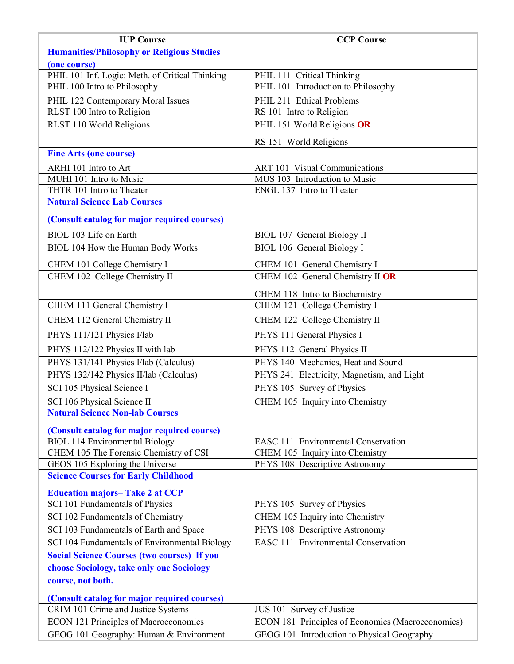| <b>IUP Course</b>                                  | <b>CCP Course</b>                                 |
|----------------------------------------------------|---------------------------------------------------|
| <b>Humanities/Philosophy or Religious Studies</b>  |                                                   |
| (one course)                                       |                                                   |
| PHIL 101 Inf. Logic: Meth. of Critical Thinking    | PHIL 111 Critical Thinking                        |
| PHIL 100 Intro to Philosophy                       | PHIL 101 Introduction to Philosophy               |
| PHIL 122 Contemporary Moral Issues                 | PHIL 211 Ethical Problems                         |
| RLST 100 Intro to Religion                         | RS 101 Intro to Religion                          |
| RLST 110 World Religions                           | PHIL 151 World Religions OR                       |
|                                                    | RS 151 World Religions                            |
| <b>Fine Arts (one course)</b>                      |                                                   |
| ARHI 101 Intro to Art                              | <b>ART 101 Visual Communications</b>              |
| MUHI 101 Intro to Music                            | MUS 103 Introduction to Music                     |
| THTR 101 Intro to Theater                          | ENGL 137 Intro to Theater                         |
| <b>Natural Science Lab Courses</b>                 |                                                   |
| (Consult catalog for major required courses)       |                                                   |
| BIOL 103 Life on Earth                             | BIOL 107 General Biology II                       |
| BIOL 104 How the Human Body Works                  | <b>BIOL 106 General Biology I</b>                 |
| CHEM 101 College Chemistry I                       | CHEM 101 General Chemistry I                      |
| CHEM 102 College Chemistry II                      | CHEM 102 General Chemistry II OR                  |
|                                                    |                                                   |
|                                                    | CHEM 118 Intro to Biochemistry                    |
| CHEM 111 General Chemistry I                       | CHEM 121 College Chemistry I                      |
| CHEM 112 General Chemistry II                      | CHEM 122 College Chemistry II                     |
| PHYS 111/121 Physics I/lab                         | PHYS 111 General Physics I                        |
| PHYS 112/122 Physics II with lab                   | PHYS 112 General Physics II                       |
| PHYS 131/141 Physics I/lab (Calculus)              | PHYS 140 Mechanics, Heat and Sound                |
| PHYS 132/142 Physics II/lab (Calculus)             | PHYS 241 Electricity, Magnetism, and Light        |
| SCI 105 Physical Science I                         | PHYS 105 Survey of Physics                        |
| SCI 106 Physical Science II                        | CHEM 105 Inquiry into Chemistry                   |
| <b>Natural Science Non-lab Courses</b>             |                                                   |
| (Consult catalog for major required course)        |                                                   |
| <b>BIOL 114 Environmental Biology</b>              | <b>EASC 111 Environmental Conservation</b>        |
| CHEM 105 The Forensic Chemistry of CSI             | CHEM 105 Inquiry into Chemistry                   |
| GEOS 105 Exploring the Universe                    | PHYS 108 Descriptive Astronomy                    |
| <b>Science Courses for Early Childhood</b>         |                                                   |
| <b>Education majors-Take 2 at CCP</b>              |                                                   |
| SCI 101 Fundamentals of Physics                    | PHYS 105 Survey of Physics                        |
| SCI 102 Fundamentals of Chemistry                  | CHEM 105 Inquiry into Chemistry                   |
| SCI 103 Fundamentals of Earth and Space            | PHYS 108 Descriptive Astronomy                    |
| SCI 104 Fundamentals of Environmental Biology      | <b>EASC 111 Environmental Conservation</b>        |
| <b>Social Science Courses (two courses) If you</b> |                                                   |
| choose Sociology, take only one Sociology          |                                                   |
| course, not both.                                  |                                                   |
| (Consult catalog for major required courses)       |                                                   |
| CRIM 101 Crime and Justice Systems                 | JUS 101 Survey of Justice                         |
| ECON 121 Principles of Macroeconomics              | ECON 181 Principles of Economics (Macroeconomics) |
| GEOG 101 Geography: Human & Environment            | GEOG 101 Introduction to Physical Geography       |